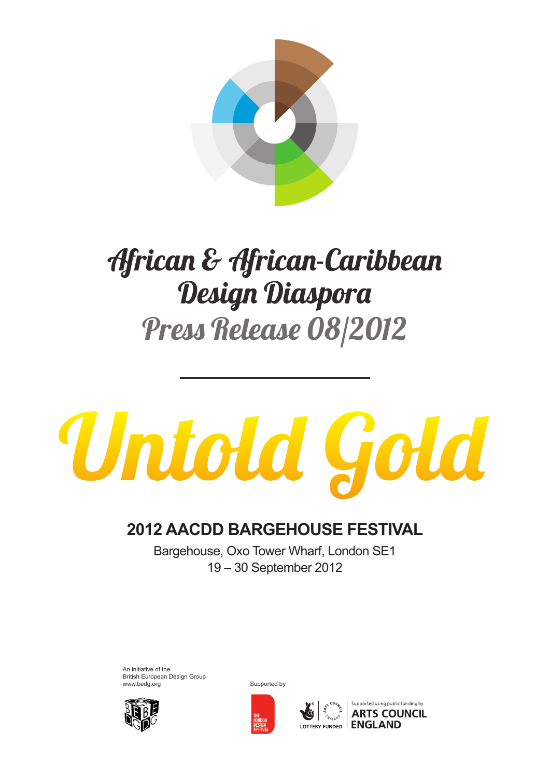

# African & African-Caribbean Design Diaspora Press Release 08/2012

# Untold Gold

## **2012 AACDD BARGEHOUSE FESTIVAL**

Bargehouse, Oxo Tower Wharf, London SE1 19 – 30 September 2012

An initiative of the British European Design Group www.bedg.org Supported by Supported by





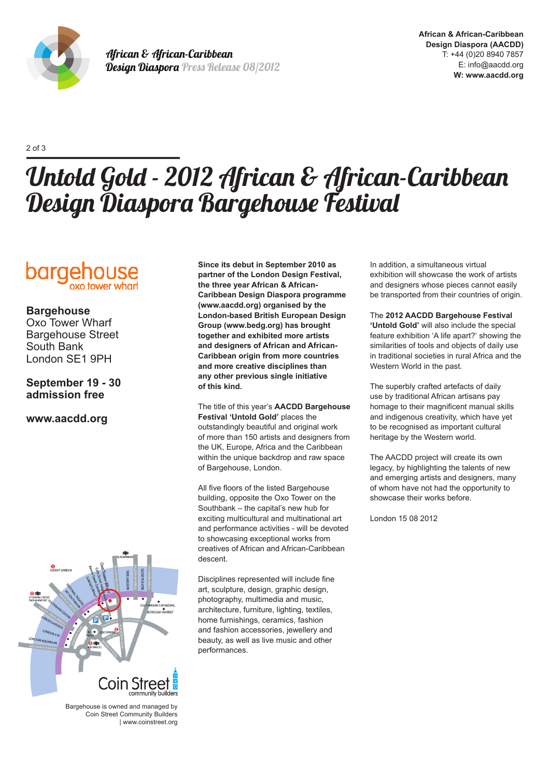

African & African-Caribbean Design Diaspora Press Release 08/2012

2 of 3

# Untold Gold - 2012 African & African-Caribbean Design Diaspora Bargehouse Festival



#### **Bargehouse**

Oxo Tower Wharf Bargehouse Street South Bank London SE1 9PH

#### **September 19 - 30 admission free**

#### **www.aacdd.org**

**Since its debut in September 2010 as partner of the London Design Festival, the three year African & African-Caribbean Design Diaspora programme (www.aacdd.org) organised by the London-based British European Design Group (www.bedg.org) has brought together and exhibited more artists and designers of African and African-Caribbean origin from more countries and more creative disciplines than any other previous single initiative of this kind.** 

The title of this year's **AACDD Bargehouse Festival 'Untold Gold'** places the outstandingly beautiful and original work of more than 150 artists and designers from the UK, Europe, Africa and the Caribbean within the unique backdrop and raw space of Bargehouse, London.

All five floors of the listed Bargehouse building, opposite the Oxo Tower on the Southbank – the capital's new hub for exciting multicultural and multinational art and performance activities - will be devoted to showcasing exceptional works from creatives of African and African-Caribbean descent.

Disciplines represented will include fine art, sculpture, design, graphic design, photography, multimedia and music, architecture, furniture, lighting, textiles, home furnishings, ceramics, fashion and fashion accessories, jewellery and beauty, as well as live music and other performances.

In addition, a simultaneous virtual exhibition will showcase the work of artists and designers whose pieces cannot easily be transported from their countries of origin.

The **2012 AACDD Bargehouse Festival 'Untold Gold'** will also include the special feature exhibition 'A life apart?' showing the similarities of tools and objects of daily use in traditional societies in rural Africa and the Western World in the past.

The superbly crafted artefacts of daily use by traditional African artisans pay homage to their magnificent manual skills and indigenous creativity, which have yet to be recognised as important cultural heritage by the Western world.

The AACDD project will create its own legacy, by highlighting the talents of new and emerging artists and designers, many of whom have not had the opportunity to showcase their works before.

London 15 08 2012



Bargehouse is owned and managed by Coin Street Community Builders | www.coinstreet.org